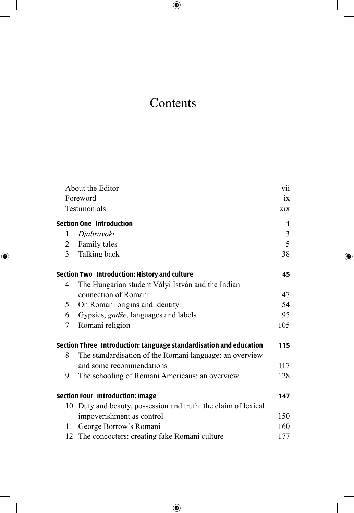## **Contents**

◈

|                | About the Editor                                                   | vii            |
|----------------|--------------------------------------------------------------------|----------------|
|                | Foreword                                                           | ix             |
|                | Testimonials                                                       | xix            |
|                | <b>Section One Introduction</b>                                    | 1              |
| 1              | Djabravoki                                                         | $\mathfrak{Z}$ |
|                | 2 Family tales                                                     | 5              |
| $\overline{3}$ | Talking back                                                       | 38             |
|                | Section Two Introduction: History and culture                      | 45             |
| 4              | The Hungarian student Vályi István and the Indian                  |                |
|                | connection of Romani                                               | 47             |
| 5              | On Romani origins and identity                                     | 54             |
| 6              | Gypsies, gadže, languages and labels                               | 95             |
| 7              | Romani religion                                                    | 105            |
|                | Section Three Introduction: Language standardisation and education | 115            |
| 8              | The standardisation of the Romani language: an overview            |                |
|                | and some recommendations                                           | 117            |
| 9              | The schooling of Romani Americans: an overview                     | 128            |
|                | Section Four Introduction: Image                                   | 147            |
| 10             | Duty and beauty, possession and truth: the claim of lexical        |                |
|                | impoverishment as control                                          | 150            |
| 11             | George Borrow's Romani                                             | 160            |
|                | 12 The concocters: creating fake Romani culture                    | 177            |

 $\frac{1}{2}$ 

 $\begin{array}{c} \bullet \end{array}$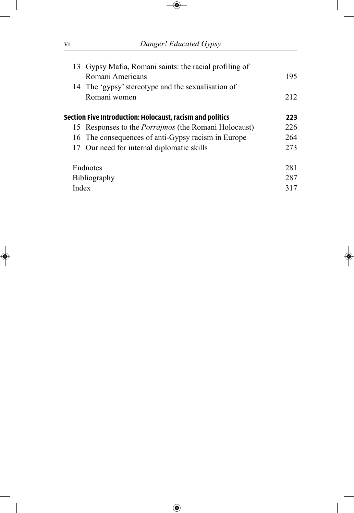vi *Danger! Educated Gypsy*

♦

|                     | 13 Gypsy Mafia, Romani saints: the racial profiling of<br>Romani Americans | 195 |
|---------------------|----------------------------------------------------------------------------|-----|
|                     | 14 The 'gypsy' stereotype and the sexualisation of                         |     |
|                     | Romani women                                                               | 212 |
|                     | Section Five Introduction: Holocaust, racism and politics                  | 223 |
|                     | 15 Responses to the <i>Porrajmos</i> (the Romani Holocaust)                | 226 |
|                     | 16 The consequences of anti-Gypsy racism in Europe                         | 264 |
|                     | 17 Our need for internal diplomatic skills                                 | 273 |
| Endnotes            |                                                                            | 281 |
| <b>Bibliography</b> |                                                                            | 287 |
| Index               |                                                                            | 317 |
|                     |                                                                            |     |

 $\color{red}\blacklozenge$ 

◈

 $\overline{\phantom{a}}$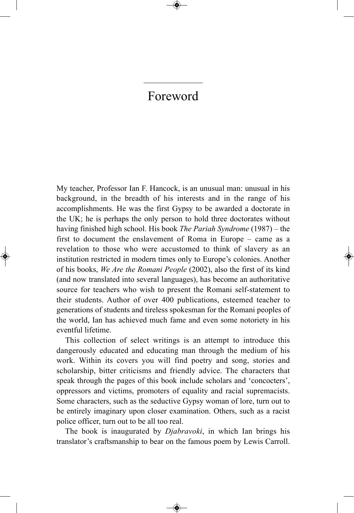## Foreword

My teacher, Professor Ian F. Hancock, is an unusual man: unusual in his background, in the breadth of his interests and in the range of his accomplishments. He was the first Gypsy to be awarded a doctorate in the Uk; he is perhaps the only person to hold three doctorates without having finished high school. His book *The Pariah Syndrome* (1987) – the first to document the enslavement of Roma in Europe  $-$  came as a revelation to those who were accustomed to think of slavery as an institution restricted in modern times only to Europe's colonies. Another of his books, *We Are the Romani People* (2002), also the first of its kind (and now translated into several languages), has become an authoritative source for teachers who wish to present the Romani self-statement to their students. Author of over 400 publications, esteemed teacher to generations of students and tireless spokesman for the Romani peoples of the world, Ian has achieved much fame and even some notoriety in his eventful lifetime.

This collection of select writings is an attempt to introduce this dangerously educated and educating man through the medium of his work. Within its covers you will find poetry and song, stories and scholarship, bitter criticisms and friendly advice. The characters that speak through the pages of this book include scholars and 'concocters', oppressors and victims, promoters of equality and racial supremacists. Some characters, such as the seductive Gypsy woman of lore, turn out to be entirely imaginary upon closer examination. others, such as a racist police officer, turn out to be all too real.

the book is inaugurated by *Djabravoki*, in which Ian brings his translator's craftsmanship to bear on the famous poem by lewis carroll.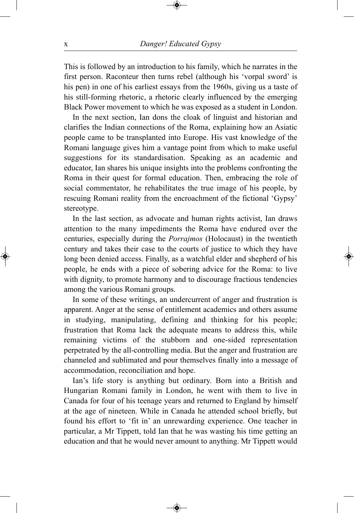This is followed by an introduction to his family, which he narrates in the first person. Raconteur then turns rebel (although his 'vorpal sword' is his pen) in one of his earliest essays from the 1960s, giving us a taste of his still-forming rhetoric, a rhetoric clearly influenced by the emerging Black Power movement to which he was exposed as a student in london.

In the next section, Ian dons the cloak of linguist and historian and clarifies the Indian connections of the Roma, explaining how an Asiatic people came to be transplanted into Europe. His vast knowledge of the Romani language gives him a vantage point from which to make useful suggestions for its standardisation. Speaking as an academic and educator, Ian shares his unique insights into the problems confronting the Roma in their quest for formal education. then, embracing the role of social commentator, he rehabilitates the true image of his people, by rescuing Romani reality from the encroachment of the fictional 'Gypsy' stereotype.

In the last section, as advocate and human rights activist, Ian draws attention to the many impediments the Roma have endured over the centuries, especially during the *Porrajmos* (Holocaust) in the twentieth century and takes their case to the courts of justice to which they have long been denied access. Finally, as a watchful elder and shepherd of his people, he ends with a piece of sobering advice for the Roma: to live with dignity, to promote harmony and to discourage fractious tendencies among the various Romani groups.

In some of these writings, an undercurrent of anger and frustration is apparent. Anger at the sense of entitlement academics and others assume in studying, manipulating, defining and thinking for his people; frustration that Roma lack the adequate means to address this, while remaining victims of the stubborn and one-sided representation perpetrated by the all-controlling media. But the anger and frustration are channeled and sublimated and pour themselves finally into a message of accommodation, reconciliation and hope.

Ian's life story is anything but ordinary. Born into a British and Hungarian Romani family in london, he went with them to live in Canada for four of his teenage years and returned to England by himself at the age of nineteen. While in canada he attended school briefly, but found his effort to 'fit in' an unrewarding experience. One teacher in particular, a Mr Tippett, told Ian that he was wasting his time getting an education and that he would never amount to anything. Mr Tippett would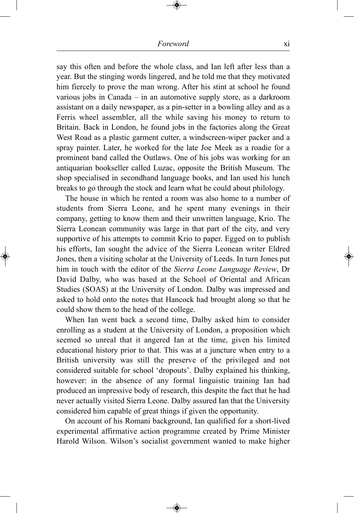## *Foreword* xi

say this often and before the whole class, and Ian left after less than a year. But the stinging words lingered, and he told me that they motivated him fiercely to prove the man wrong. After his stint at school he found various jobs in canada – in an automotive supply store, as a darkroom assistant on a daily newspaper, as a pin-setter in a bowling alley and as a Ferris wheel assembler, all the while saving his money to return to Britain. Back in london, he found jobs in the factories along the Great West Road as a plastic garment cutter, a windscreen-wiper packer and a spray painter. later, he worked for the late Joe Meek as a roadie for a prominent band called the Outlaws. One of his jobs was working for an antiquarian bookseller called Luzac, opposite the British Museum. The shop specialised in secondhand language books, and Ian used his lunch breaks to go through the stock and learn what he could about philology.

The house in which he rented a room was also home to a number of students from Sierra leone, and he spent many evenings in their company, getting to know them and their unwritten language, Krio. The Sierra leonean community was large in that part of the city, and very supportive of his attempts to commit Krio to paper. Egged on to publish his efforts, Ian sought the advice of the Sierra Leonean writer Eldred Jones, then a visiting scholar at the University of leeds. In turn Jones put him in touch with the editor of the *Sierra Leone Language Review*, Dr David Dalby, who was based at the School of Oriental and African Studies (SOAS) at the University of London. Dalby was impressed and asked to hold onto the notes that Hancock had brought along so that he could show them to the head of the college.

When Ian went back a second time, Dalby asked him to consider enrolling as a student at the University of london, a proposition which seemed so unreal that it angered Ian at the time, given his limited educational history prior to that. This was at a juncture when entry to a British university was still the preserve of the privileged and not considered suitable for school 'dropouts'. Dalby explained his thinking, however: in the absence of any formal linguistic training Ian had produced an impressive body of research, this despite the fact that he had never actually visited Sierra Leone. Dalby assured Ian that the University considered him capable of great things if given the opportunity.

on account of his Romani background, Ian qualified for a short-lived experimental affirmative action programme created by Prime Minister Harold Wilson. Wilson's socialist government wanted to make higher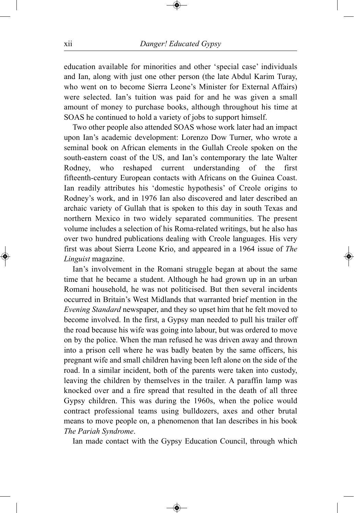education available for minorities and other 'special case' individuals and Ian, along with just one other person (the late Abdul Karim Turay, who went on to become Sierra Leone's Minister for External Affairs) were selected. Ian's tuition was paid for and he was given a small amount of money to purchase books, although throughout his time at SOAS he continued to hold a variety of jobs to support himself.

Two other people also attended SOAS whose work later had an impact upon Ian's academic development: Lorenzo Dow Turner, who wrote a seminal book on african elements in the Gullah creole spoken on the south-eastern coast of the US, and Ian's contemporary the late Walter Rodney, who reshaped current understanding of the first fifteenth-century European contacts with Africans on the Guinea Coast. Ian readily attributes his 'domestic hypothesis' of creole origins to Rodney's work, and in 1976 Ian also discovered and later described an archaic variety of Gullah that is spoken to this day in south Texas and northern Mexico in two widely separated communities. The present volume includes a selection of his Roma-related writings, but he also has over two hundred publications dealing with creole languages. His very first was about Sierra leone krio, and appeared in a 1964 issue of *The Linguist* magazine.

Ian's involvement in the Romani struggle began at about the same time that he became a student. Although he had grown up in an urban Romani household, he was not politicised. But then several incidents occurred in Britain's West Midlands that warranted brief mention in the *Evening Standard* newspaper, and they so upset him that he felt moved to become involved. In the first, a Gypsy man needed to pull his trailer off the road because his wife was going into labour, but was ordered to move on by the police. When the man refused he was driven away and thrown into a prison cell where he was badly beaten by the same officers, his pregnant wife and small children having been left alone on the side of the road. In a similar incident, both of the parents were taken into custody, leaving the children by themselves in the trailer. A paraffin lamp was knocked over and a fire spread that resulted in the death of all three Gypsy children. This was during the 1960s, when the police would contract professional teams using bulldozers, axes and other brutal means to move people on, a phenomenon that Ian describes in his book *The Pariah Syndrome*.

Ian made contact with the Gypsy Education Council, through which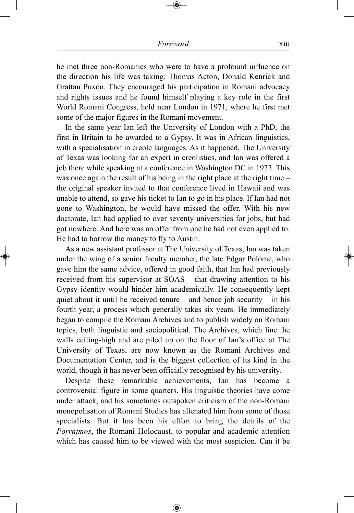he met three non-Romanies who were to have a profound influence on the direction his life was taking: Thomas Acton, Donald Kenrick and Grattan Puxon. They encouraged his participation in Romani advocacy and rights issues and he found himself playing a key role in the first World Romani congress, held near london in 1971, where he first met some of the major figures in the Romani movement.

In the same year Ian left the University of London with a PhD, the first in Britain to be awarded to a Gypsy. It was in african linguistics, with a specialisation in creole languages. As it happened, The University of texas was looking for an expert in creolistics, and Ian was offered a job there while speaking at a conference in Washington DC in 1972. This was once again the result of his being in the right place at the right time – the original speaker invited to that conference lived in Hawaii and was unable to attend, so gave his ticket to Ian to go in his place. If Ian had not gone to Washington, he would have missed the offer. With his new doctorate, Ian had applied to over seventy universities for jobs, but had got nowhere. And here was an offer from one he had not even applied to. He had to borrow the money to fly to Austin.

As a new assistant professor at The University of Texas, Ian was taken under the wing of a senior faculty member, the late Edgar Polomé, who gave him the same advice, offered in good faith, that Ian had previously received from his supervisor at SOAS – that drawing attention to his Gypsy identity would hinder him academically. He consequently kept quiet about it until he received tenure – and hence job security – in his fourth year, a process which generally takes six years. He immediately began to compile the Romani Archives and to publish widely on Romani topics, both linguistic and sociopolitical. the archives, which line the walls ceiling-high and are piled up on the floor of Ian's office at The University of Texas, are now known as the Romani Archives and Documentation Center, and is the biggest collection of its kind in the world, though it has never been officially recognised by his university.

Despite these remarkable achievements, Ian has become a controversial figure in some quarters. His linguistic theories have come under attack, and his sometimes outspoken criticism of the non-Romani monopolisation of Romani Studies has alienated him from some of those specialists. But it has been his effort to bring the details of the *Porrajmos*, the Romani Holocaust, to popular and academic attention which has caused him to be viewed with the most suspicion. Can it be